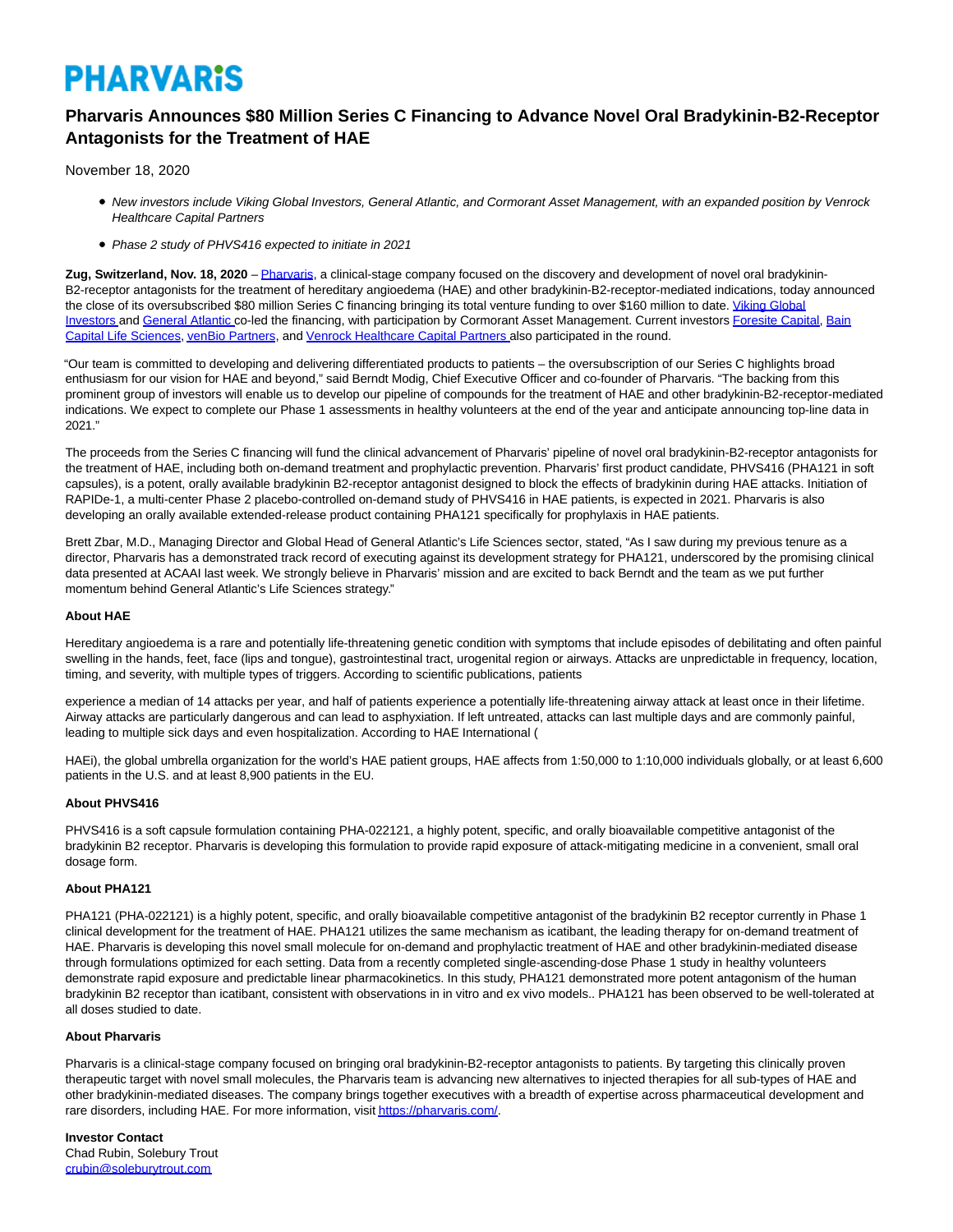# **PHARVARIS**

# **Pharvaris Announces \$80 Million Series C Financing to Advance Novel Oral Bradykinin-B2-Receptor Antagonists for the Treatment of HAE**

November 18, 2020

- New investors include Viking Global Investors, General Atlantic, and Cormorant Asset Management, with an expanded position by Venrock Healthcare Capital Partners
- Phase 2 study of PHVS416 expected to initiate in 2021

**Zug, Switzerland, Nov. 18, 2020** – [Pharvaris,](https://pharvaris.com/) a clinical-stage company focused on the discovery and development of novel oral bradykinin-B2-receptor antagonists for the treatment of hereditary angioedema (HAE) and other bradykinin-B2-receptor-mediated indications, today announced the close of its oversubscribed \$80 million Series C financing bringing its total venture funding to over \$160 million to date. [Viking Global](https://www.vikingglobal.com/) Investors and [General Atlantic c](https://www.generalatlantic.com/)o-led the financing, with participation by Cormorant Asset Management. Current investors [Foresite Capital,](https://www.foresitecapital.com/) [Bain](https://www.baincapital.com/businesses/scaling-innovation-life-sciences) Capital Life Sciences[, venBio Partners,](http://www.venbio.com/index.html) and [Venrock Healthcare Capital Partners a](https://www.venrockcp.com/)lso participated in the round.

"Our team is committed to developing and delivering differentiated products to patients – the oversubscription of our Series C highlights broad enthusiasm for our vision for HAE and beyond," said Berndt Modig, Chief Executive Officer and co-founder of Pharvaris. "The backing from this prominent group of investors will enable us to develop our pipeline of compounds for the treatment of HAE and other bradykinin-B2-receptor-mediated indications. We expect to complete our Phase 1 assessments in healthy volunteers at the end of the year and anticipate announcing top-line data in 2021."

The proceeds from the Series C financing will fund the clinical advancement of Pharvaris' pipeline of novel oral bradykinin-B2-receptor antagonists for the treatment of HAE, including both on-demand treatment and prophylactic prevention. Pharvaris' first product candidate, PHVS416 (PHA121 in soft capsules), is a potent, orally available bradykinin B2-receptor antagonist designed to block the effects of bradykinin during HAE attacks. Initiation of RAPIDe-1, a multi-center Phase 2 placebo-controlled on-demand study of PHVS416 in HAE patients, is expected in 2021. Pharvaris is also developing an orally available extended-release product containing PHA121 specifically for prophylaxis in HAE patients.

Brett Zbar, M.D., Managing Director and Global Head of General Atlantic's Life Sciences sector, stated, "As I saw during my previous tenure as a director, Pharvaris has a demonstrated track record of executing against its development strategy for PHA121, underscored by the promising clinical data presented at ACAAI last week. We strongly believe in Pharvaris' mission and are excited to back Berndt and the team as we put further momentum behind General Atlantic's Life Sciences strategy."

## **About HAE**

Hereditary angioedema is a rare and potentially life-threatening genetic condition with symptoms that include episodes of debilitating and often painful swelling in the hands, feet, face (lips and tongue), gastrointestinal tract, urogenital region or airways. Attacks are unpredictable in frequency, location, timing, and severity, with multiple types of triggers. According to scientific publications, patients

experience a median of 14 attacks per year, and half of patients experience a potentially life-threatening airway attack at least once in their lifetime. Airway attacks are particularly dangerous and can lead to asphyxiation. If left untreated, attacks can last multiple days and are commonly painful, leading to multiple sick days and even hospitalization. According to HAE International (

HAEi), the global umbrella organization for the world's HAE patient groups, HAE affects from 1:50,000 to 1:10,000 individuals globally, or at least 6,600 patients in the U.S. and at least 8,900 patients in the EU.

### **About PHVS416**

PHVS416 is a soft capsule formulation containing PHA-022121, a highly potent, specific, and orally bioavailable competitive antagonist of the bradykinin B2 receptor. Pharvaris is developing this formulation to provide rapid exposure of attack-mitigating medicine in a convenient, small oral dosage form.

## **About PHA121**

PHA121 (PHA-022121) is a highly potent, specific, and orally bioavailable competitive antagonist of the bradykinin B2 receptor currently in Phase 1 clinical development for the treatment of HAE. PHA121 utilizes the same mechanism as icatibant, the leading therapy for on-demand treatment of HAE. Pharvaris is developing this novel small molecule for on-demand and prophylactic treatment of HAE and other bradykinin-mediated disease through formulations optimized for each setting. Data from a recently completed single-ascending-dose Phase 1 study in healthy volunteers demonstrate rapid exposure and predictable linear pharmacokinetics. In this study, PHA121 demonstrated more potent antagonism of the human bradykinin B2 receptor than icatibant, consistent with observations in in vitro and ex vivo models.. PHA121 has been observed to be well-tolerated at all doses studied to date.

### **About Pharvaris**

Pharvaris is a clinical-stage company focused on bringing oral bradykinin-B2-receptor antagonists to patients. By targeting this clinically proven therapeutic target with novel small molecules, the Pharvaris team is advancing new alternatives to injected therapies for all sub-types of HAE and other bradykinin-mediated diseases. The company brings together executives with a breadth of expertise across pharmaceutical development and rare disorders, including HAE. For more information, visi[t https://pharvaris.com/.](https://pharvaris.com/)

**Investor Contact** Chad Rubin, Solebury Trout [crubin@soleburytrout.com](file:///C:/Windows/Temp/ABCpdf/;)